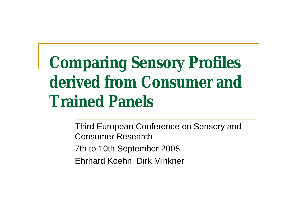**Comparing Sensory Profiles derived from Consumer and Trained Panels**

> Third European Conference on Sensory and Consumer Research 7th to 10th September 2008 Ehrhard Koehn, Dirk Minkner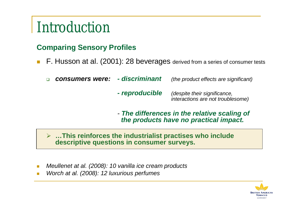## Introduction

#### **Comparing Sensory Profiles**

- F. Husson at al. (2001): 28 beverages derived from a series of consumer tests
	- *consumers were: - discriminant (the product effects are significant)*
		- *- reproducible (despite their significance, interactions are not troublesome)*
		- *- The differences in the relative scaling of the products have no practical impact.*
	- **…This reinforces the industrialist practises who include descriptive questions in consumer surveys.**
- *Meullenet at al. (2008): 10 vanilla ice cream products*
- *Worch at al. (2008): 12 luxurious perfumes*

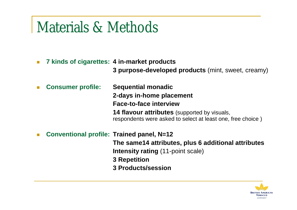## Materials & Methods

- **7 kinds of cigarettes: 4 in-market products**
	- **3 purpose-developed products** (mint, sweet, creamy)

 **Consumer profile: Sequential monadic 2-days in-home placement Face-to-face interview 14 flavour attributes** (supported by visuals, respondents were asked to select at least one, free choice )

**Conventional profile: Trained panel, N=12**

**The same14 attributes, plus 6 additional attributes**

**Intensity rating** (11-point scale)

**3 Repetition**

**3 Products/session**

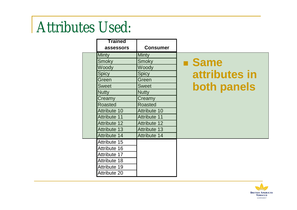## Attributes Used:

|  | Trained<br>assessors | <b>Consumer</b>     |                    |
|--|----------------------|---------------------|--------------------|
|  | <b>Minty</b>         | <b>Minty</b>        |                    |
|  | <b>Smoky</b>         | Smoky               | <b>E</b> Same      |
|  | Woody                | Woody               |                    |
|  | <b>Spicy</b>         | <b>Spicy</b>        | attributes in      |
|  | Green                | Green               |                    |
|  | <b>Sweet</b>         | <b>Sweet</b>        | <b>both panels</b> |
|  | <b>Nutty</b>         | <b>Nutty</b>        |                    |
|  | Creamy               | Creamy              |                    |
|  | <b>Roasted</b>       | <b>Roasted</b>      |                    |
|  | <b>Attribute 10</b>  | <b>Attribute 10</b> |                    |
|  | <b>Attribute 11</b>  | <b>Attribute 11</b> |                    |
|  | <b>Attribute 12</b>  | <b>Attribute 12</b> |                    |
|  | <b>Attribute 13</b>  | <b>Attribute 13</b> |                    |
|  | <b>Attribute 14</b>  | <b>Attribute 14</b> |                    |
|  | Attribute 15         |                     |                    |
|  | Attribute 16         |                     |                    |
|  | Attribute 17         |                     |                    |
|  | Attribute 18         |                     |                    |
|  | Attribute 19         |                     |                    |
|  | <b>Attribute 20</b>  |                     |                    |

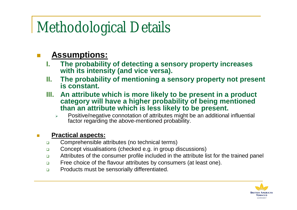## Methodological Details

### **Assumptions:**

- **I. The probability of detecting a sensory property increases with its intensity (and vice versa).**
- **II. The probability of mentioning a sensory property not present is constant.**
- **III. An attribute which is more likely to be present in a product category will have a higher probability of being mentioned than an attribute which is less likely to be present.**
	- Positive/negative connotation of attributes might be an additional influential factor regarding the above-mentioned probability.

#### **Practical aspects:**

- **Comprehensible attributes (no technical terms)**
- □ Concept visualisations (checked e.g. in group discussions)
- Attributes of the consumer profile included in the attribute list for the trained panel
- □ Free choice of the flavour attributes by consumers (at least one).
- **Products must be sensorially differentiated.**

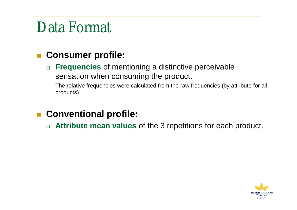# Data Format

### **Consumer profile:**

 **Frequencies** of mentioning a distinctive perceivable sensation when consuming the product.

 The relative frequencies were calculated from the raw frequencies (by attribute for all products).

**Conventional profile:**

**Attribute mean values** of the 3 repetitions for each product.

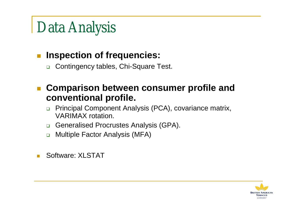# Data Analysis

### **Inspection of frequencies:**

- □ Contingency tables, Chi-Square Test.
- **Comparison between consumer profile and conventional profile.**
	- **Principal Component Analysis (PCA), covariance matrix,** VARIMAX rotation.
	- Generalised Procrustes Analysis (GPA).
	- **n** Multiple Factor Analysis (MFA)
- Software: XLSTAT

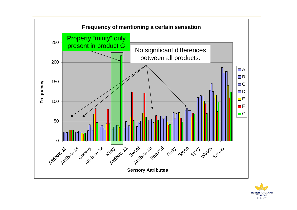

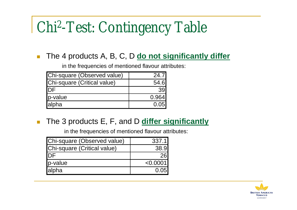# Chi<sup>2</sup> -Test: Contingency Table

#### ■ The 4 products A, B, C, D **do not significantly differ**

in the frequencies of mentioned flavour attributes:

| Chi-square (Observed value) | 24.7I |
|-----------------------------|-------|
| Chi-square (Critical value) | 54.6  |
| <b>IDF</b>                  | 39    |
| p-value                     | 0.964 |
| alpha                       | 0.05  |

**The 3 products E, F, and D differ significantly** 

in the frequencies of mentioned flavour attributes:

| Chi-square (Observed value) | 337.1    |
|-----------------------------|----------|
| Chi-square (Critical value) | 38.9     |
| <b>I</b> DF                 |          |
| p-value                     | < 0.0001 |
| alpha                       | 0.05     |

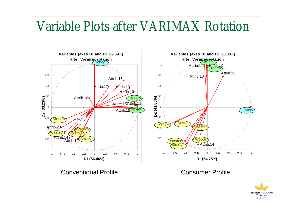## Variable Plots after VARIMAX Rotation



Conventional Profile Consumer Profile

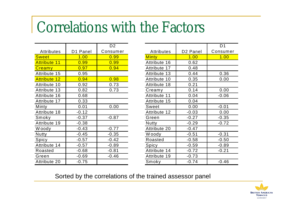## Correlations with the Factors

|                     |          | D2       |
|---------------------|----------|----------|
| <b>Attributes</b>   | D1 Panel | Consumer |
| <b>Sweet</b>        | 1.00     | 0.99     |
| <b>Attribute 11</b> | 0.99     | 0.99     |
| Creamy              | 0.97     | 0.94     |
| Attribute 15        | 0.95     |          |
| <b>Attribute 12</b> | 0.94     | 0.98     |
| Attribute 10        | 0.92     | 0.73     |
| Attribute 13        | 0.82     | 0.73     |
| Attribute 16        | 0.68     |          |
| Attribute 17        | 0.33     |          |
| Minty               | 0.01     | 0.00     |
| Attribute 18        | $-0.12$  |          |
| Smoky               | $-0.37$  | $-0.87$  |
| Attribute 19        | $-0.38$  |          |
| W oody              | $-0.43$  | $-0.77$  |
| Nutty               | $-0.45$  | $-0.35$  |
| Spicy               | $-0.57$  | $-0.42$  |
| Attribute 14        | $-0.57$  | $-0.89$  |
| Roasted             | $-0.68$  | $-0.81$  |
| Green               | $-0.69$  | $-0.46$  |
| Attribute 20        | $-0.75$  |          |

|                   |                      | D <sub>1</sub> |
|-------------------|----------------------|----------------|
| <b>Attributes</b> | D <sub>2</sub> Panel | Consumer       |
| <b>Minty</b>      | 1.00                 | 1.00           |
| Attribute 16      | 0.62                 |                |
| Attribute 17      | 0.48                 |                |
| Attribute 13      | 0.44                 | 0.36           |
| Attribute 10      | 0.35                 | 0.00           |
| Attribute 18      | 0.21                 |                |
| Creamy            | 0.14                 | 0.00           |
| Attribute 11      | 0.04                 | $-0.06$        |
| Attribute 15      | 0.04                 |                |
| <b>Sweet</b>      | 0.00                 | $-0.01$        |
| Attribute 12      | $-0.03$              | 0.00           |
| Green             | $-0.27$              | $-0.35$        |
| <b>Nutty</b>      | $-0.29$              | $-0.72$        |
| Attribute 20      | $-0.47$              |                |
| Woody             | $-0.51$              | $-0.31$        |
| Roasted           | $-0.58$              | $-0.50$        |
| Spicy             | $-0.59$              | $-0.89$        |
| Attribute 14      | $-0.72$              | $-0.21$        |
| Attribute 19      | $-0.73$              |                |
| Smoky             | $-0.74$              | $-0.46$        |

Sorted by the correlations of the trained assessor panel

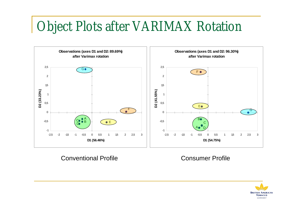## Object Plots after VARIMAX Rotation



Conventional Profile Consumer Profile

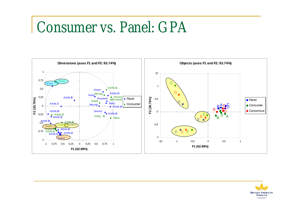## Consumer vs. Panel: GPA



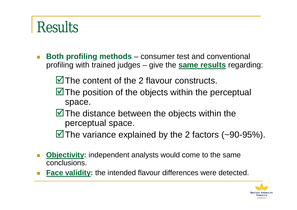## **Results**

- **Both profiling methods** consumer test and conventional profiling with trained judges – give the **same results** regarding:
	- $\blacksquare$  The content of the 2 flavour constructs.
	- $\blacksquare$  The position of the objects within the perceptual space.
	- $\blacksquare$  The distance between the objects within the perceptual space.

 $\blacksquare$  The variance explained by the 2 factors (~90-95%).

- **Diectivity:** independent analysts would come to the same conclusions.
- **Face validity:** the intended flavour differences were detected.

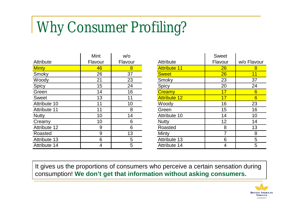# Why Consumer Profiling?

|                     | Mint    | W/O     |
|---------------------|---------|---------|
| <b>Attribute</b>    | Flavour | Flavour |
| <b>Minty</b>        | 46      | 8       |
| Smoky               | 26      | 37      |
| Woody               | 21      | 23      |
| Spicy               | 15      | 24      |
| Green               | 14      | 16      |
| <b>Sweet</b>        | 13      | 11      |
| Attribute 10        | 11      | 10      |
| <b>Attribute 11</b> | 11      | 8       |
| <b>Nutty</b>        | 10      | 14      |
| Creamy              | 10      | 6       |
| <b>Attribute 12</b> | 9       | 6       |
| Roasted             | 9       | 13      |
| <b>Attribute 13</b> | 6       | 5       |
| Attribute 14        | 4       | 5       |

|                     | <b>Sweet</b> |             |
|---------------------|--------------|-------------|
| Attribute           | Flavour      | w/o Flavour |
| <b>Attribute 11</b> | 26           | 8           |
| <b>Sweet</b>        | 26           | 11          |
| Smoky               | 23           | 37          |
| Spicy               | 20           | 24          |
| Creamy              | 17           | 6           |
| <b>Attribute 12</b> | 17           | 6           |
| Woody               | 16           | 23          |
| Green               | 15           | 16          |
| Attribute 10        | 14           | 10          |
| <b>Nutty</b>        | 12           | 14          |
| Roasted             | 8            | 13          |
| Minty               | 7            | 8           |
| <b>Attribute 13</b> | 6            | 5           |
| <b>Attribute 14</b> | 4            | 5           |

It gives us the proportions of consumers who perceive a certain sensation during consumption! **We don't get that information without asking consumers.**

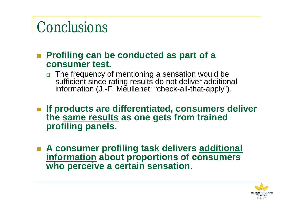## Conclusions

- **Profiling can be conducted as part of a consumer test.**
	- □ The frequency of mentioning a sensation would be sufficient since rating results do not deliver additional information (J.-F. Meullenet: "check-all-that-apply").
- **If products are differentiated, consumers deliver the same results as one gets from trained profiling panels.**
- **A consumer profiling task delivers additional information about proportions of consumers who perceive a certain sensation.**

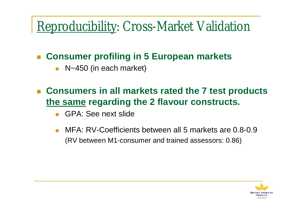## Reproducibility: Cross-Market Validation

### **Consumer profiling in 5 European markets**

- N~450 (in each market)
- **Consumers in all markets rated the 7 test products the same regarding the 2 flavour constructs.**
	- GPA: See next slide
	- MFA: RV-Coefficients between all 5 markets are 0.8-0.9 (RV between M1-consumer and trained assessors: 0.86)

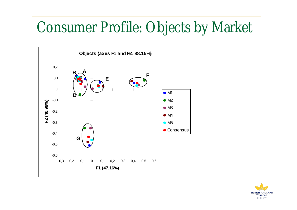## Consumer Profile: Objects by Market



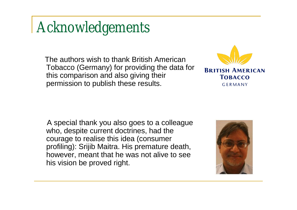## Acknowledgements

The authors wish to thank British American Tobacco (Germany) for providing the data for this comparison and also giving their permission to publish these results.



A special thank you also goes to a colleague who, despite current doctrines, had the courage to realise this idea (consumer profiling): Srijib Maitra. His premature death, however, meant that he was not alive to see his vision be proved right.